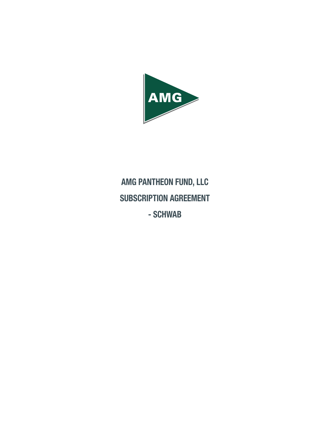

# AMG PANTHEON FUND, LLC SUBSCRIPTION AGREEMENT - SCHWAB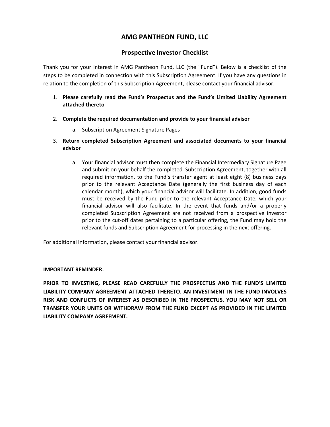# **AMG PANTHEON FUND, LLC**

# **Prospective Investor Checklist**

Thank you for your interest in AMG Pantheon Fund, LLC (the "Fund"). Below is a checklist of the steps to be completed in connection with this Subscription Agreement. If you have any questions in relation to the completion of this Subscription Agreement, please contact your financial advisor.

- 1. **Please carefully read the Fund's Prospectus and the Fund's Limited Liability Agreement attached thereto**
- 2. **Complete the required documentation and provide to your financial advisor**
	- a. Subscription Agreement Signature Pages
- 3. **Return completed Subscription Agreement and associated documents to your financial advisor**
	- a. Your financial advisor must then complete the Financial Intermediary Signature Page and submit on your behalf the completed Subscription Agreement, together with all required information, to the Fund's transfer agent at least eight (8) business days prior to the relevant Acceptance Date (generally the first business day of each calendar month), which your financial advisor will facilitate. In addition, good funds must be received by the Fund prior to the relevant Acceptance Date, which your financial advisor will also facilitate. In the event that funds and/or a properly completed Subscription Agreement are not received from a prospective investor prior to the cut-off dates pertaining to a particular offering, the Fund may hold the relevant funds and Subscription Agreement for processing in the next offering.

For additional information, please contact your financial advisor.

### **IMPORTANT REMINDER:**

**PRIOR TO INVESTING, PLEASE READ CAREFULLY THE PROSPECTUS AND THE FUND'S LIMITED LIABILITY COMPANY AGREEMENT ATTACHED THERETO. AN INVESTMENT IN THE FUND INVOLVES RISK AND CONFLICTS OF INTEREST AS DESCRIBED IN THE PROSPECTUS. YOU MAY NOT SELL OR TRANSFER YOUR UNITS OR WITHDRAW FROM THE FUND EXCEPT AS PROVIDED IN THE LIMITED LIABILITY COMPANY AGREEMENT.**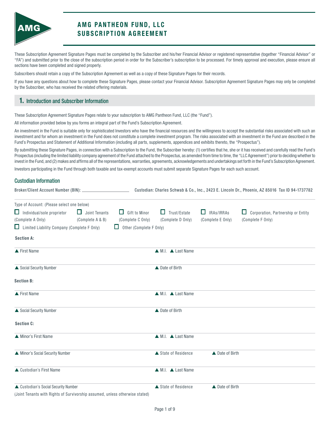

# A MG PANTHEON FUND, LLC S UBSCRIPTION AGREEMENT

These Subscription Agreement Signature Pages must be completed by the Subscriber and his/her Financial Advisor or registered representative (together "Financial Advisor" or "FA") and submitted prior to the close of the subscription period in order for the Subscriber's subscription to be processed. For timely approval and execution, please ensure all sections have been completed and signed properly.

Subscribers should retain a copy of the Subscription Agreement as well as a copy of these Signature Pages for their records.

If you have any questions about how to complete these Signature Pages, please contact your Financial Advisor. Subscription Agreement Signature Pages may only be completed by the Subscriber, who has received the related offering materials.

### 1. Introduction and Subscriber Information

These Subscription Agreement Signature Pages relate to your subscription to AMG Pantheon Fund, LLC (the "Fund").

All information provided below by you forms an integral part of the Fund's Subscription Agreement.

An investment in the Fund is suitable only for sophisticated Investors who have the financial resources and the willingness to accept the substantial risks associated with such an investment and for whom an investment in the Fund does not constitute a complete investment program. The risks associated with an investment in the Fund are described in the Fund's Prospectus and Statement of Additional Information (including all parts, supplements, appendices and exhibits thereto, the "Prospectus").

By submitting these Signature Pages, in connection with a Subscription to the Fund, the Subscriber hereby: (1) certifies that he, she or it has received and carefully read the Fund's Prospectus (including the limited liability company agreement of the Fund attached to the Prospectus, as amended from time to time, the "LLC Agreement") prior to deciding whether to invest in the Fund, and (2) makes and affirms all of the representations, warranties, agreements, acknowledgements and undertakings set forth in the Fund's Subscription Agreement.

Investors participating in the Fund through both taxable and tax-exempt accounts must submit separate Signature Pages for each such account.

### Custodian Information

|                                                                              |                      |                                | Broker/Client Account Number (BIN): Custodian: Charles Schwab & Co., Inc., 2423 E. Lincoln Dr., Phoenix, AZ 85016 Tax ID 94-1737782 |                   |                                         |  |  |
|------------------------------------------------------------------------------|----------------------|--------------------------------|-------------------------------------------------------------------------------------------------------------------------------------|-------------------|-----------------------------------------|--|--|
| Type of Account: (Please select one below)                                   |                      |                                |                                                                                                                                     |                   |                                         |  |  |
| $\Box$ Individual/sole proprietor                                            | $\Box$ Joint Tenants | $\Box$ Gift to Minor           | Trust/Estate<br>$\Box$                                                                                                              | IRAs/IRRAs<br>Ш   | Corporation, Partnership or Entity<br>ш |  |  |
| (Complete A Only)                                                            | (Complete A & B)     | (Complete C Only)              | (Complete D Only)                                                                                                                   | (Complete E Only) | (Complete F Only)                       |  |  |
| $\Box$ Limited Liability Company (Complete F Only)                           |                      | $\Box$ Other (Complete F Only) |                                                                                                                                     |                   |                                         |  |  |
| <b>Section A:</b>                                                            |                      |                                |                                                                                                                                     |                   |                                         |  |  |
| ▲ First Name                                                                 |                      |                                | $\triangle M.I.$ $\triangle$ Last Name                                                                                              |                   |                                         |  |  |
| Social Security Number                                                       |                      |                                | ▲ Date of Birth                                                                                                                     |                   |                                         |  |  |
| <b>Section B:</b>                                                            |                      |                                |                                                                                                                                     |                   |                                         |  |  |
| ▲ First Name                                                                 |                      |                                | $\triangle M.I.$ $\triangle$ Last Name                                                                                              |                   |                                         |  |  |
| Social Security Number                                                       |                      |                                | ▲ Date of Birth                                                                                                                     |                   |                                         |  |  |
| <b>Section C:</b>                                                            |                      |                                |                                                                                                                                     |                   |                                         |  |  |
| Minor's First Name                                                           |                      |                                | $\triangle M.I.$ $\triangle$ Last Name                                                                                              |                   |                                         |  |  |
| Minor's Social Security Number                                               |                      |                                | ▲ State of Residence                                                                                                                | ▲ Date of Birth   |                                         |  |  |
| ▲ Custodian's First Name                                                     |                      |                                | $\triangle M.I.$ $\triangle$ Last Name                                                                                              |                   |                                         |  |  |
| ▲ Custodian's Social Security Number                                         |                      |                                | ▲ State of Residence                                                                                                                | ▲ Date of Birth   |                                         |  |  |
| (Joint Tenants with Rights of Survivorship assumed, unless otherwise stated) |                      |                                |                                                                                                                                     |                   |                                         |  |  |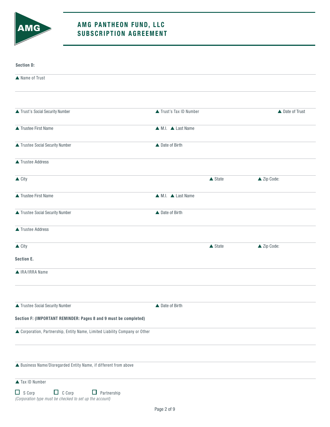

# A MG PANTHEON FUND, LLC S UBSCRIPTION AGREEMENT

| <b>Section D:</b>                                                                                                |                                        |                   |                 |
|------------------------------------------------------------------------------------------------------------------|----------------------------------------|-------------------|-----------------|
| ▲ Name of Trust                                                                                                  |                                        |                   |                 |
|                                                                                                                  |                                        |                   |                 |
| ▲ Trust's Social Security Number                                                                                 | Trust's Tax ID Number                  |                   | ▲ Date of Trust |
| ▲ Trustee First Name                                                                                             | $\triangle M.I.$ $\triangle$ Last Name |                   |                 |
| ▲ Trustee Social Security Number                                                                                 | ▲ Date of Birth                        |                   |                 |
| ▲ Trustee Address                                                                                                |                                        |                   |                 |
| $\triangle$ City                                                                                                 |                                        | $\triangle$ State | ▲ Zip Code:     |
| ▲ Trustee First Name                                                                                             | ▲ M.I. ▲ Last Name                     |                   |                 |
| ▲ Trustee Social Security Number                                                                                 | ▲ Date of Birth                        |                   |                 |
| ▲ Trustee Address                                                                                                |                                        |                   |                 |
| $\triangle$ City                                                                                                 |                                        | $\triangle$ State | ▲ Zip Code:     |
| <b>Section E.</b>                                                                                                |                                        |                   |                 |
| A IRA/IRRA Name                                                                                                  |                                        |                   |                 |
|                                                                                                                  |                                        |                   |                 |
| ▲ Trustee Social Security Number                                                                                 | ▲ Date of Birth                        |                   |                 |
| Section F: (IMPORTANT REMINDER: Pages 8 and 9 must be completed)                                                 |                                        |                   |                 |
| ▲ Corporation, Partnership, Entity Name, Limited Liability Company or Other                                      |                                        |                   |                 |
|                                                                                                                  |                                        |                   |                 |
| A Business Name/Disregarded Entity Name, if different from above                                                 |                                        |                   |                 |
| ▲ Tax ID Number                                                                                                  |                                        |                   |                 |
| $\Box$ S Corp<br>$\Box$ C Corp<br>$\Box$ Partnership<br>(Corporation type must be checked to set up the account) |                                        |                   |                 |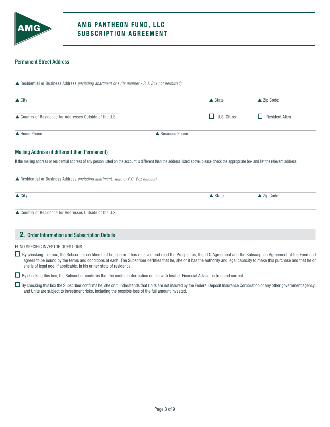

### Permanent Street Address

| $\triangle$ City                                                                  |                                                                                                                                                                                               | $\triangle$ State | ▲ Zip Code:           |
|-----------------------------------------------------------------------------------|-----------------------------------------------------------------------------------------------------------------------------------------------------------------------------------------------|-------------------|-----------------------|
| ▲ Country of Residence for Addresses Outside of the U.S.                          | H                                                                                                                                                                                             | U.S. Citizen      | <b>Resident Alien</b> |
| A Home Phone                                                                      | ▲ Business Phone                                                                                                                                                                              |                   |                       |
|                                                                                   |                                                                                                                                                                                               |                   |                       |
| <b>Mailing Address (if different than Permanent)</b>                              |                                                                                                                                                                                               |                   |                       |
|                                                                                   | If the mailing address or residential address of any person listed on the account is different than the address listed above, please check the appropriate box and list the relevant address. |                   |                       |
| ▲ Residential or Business Address (including apartment, suite or P.O. Box number) |                                                                                                                                                                                               |                   |                       |
| $\triangle$ City                                                                  |                                                                                                                                                                                               | $\triangle$ State | ▲ Zip Code:           |

FUND SPECIFIC INVESTOR QUESTIONS

■ By checking this box, the Subscriber certifies that he, she or it has received and read the Prospectus, the LLC Agreement and the Subscription Agreement of the Fund and agrees to be bound by the terms and conditions of each. The Subscriber certifies that he, she or it has the authority and legal capacity to make this purchase and that he or she is of legal age, if applicable, in his or her state of residence.

By checking this box, the Subscriber confirms that the contact information on file with his/her Financial Advisor is true and correct.

 $\Box$  By checking this box the Subscriber confirms he, she or it understands that Units are not insured by the Federal Deposit Insurance Corporation or any other government agency; and Units are subject to investment risks, including the possible loss of the full amount invested.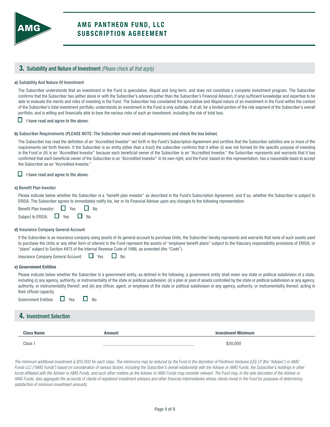

### 3. Suitability and Nature of Investment *(Please check all that apply)*

#### a) Suitability And Nature Of Investment

The Subscriber understands that an investment in the Fund is speculative, illiquid and long-term, and does not constitute a complete investment program. The Subscriber confirms that the Subscriber has (either alone or with the Subscriber's advisors (other than the Subscriber's Financial Advisor), if any) sufficient knowledge and expertise to be able to evaluate the merits and risks of investing in the Fund. The Subscriber has considered the speculative and illiquid nature of an investment in the Fund within the context of the Subscriber's total investment portfolio, understands an investment in the Fund is only suitable, if at all, for a limited portion of the risk segment of the Subscriber's overall portfolio, and is willing and financially able to bear the various risks of such an investment, including the risk of total loss.

 $\Box$  I have read and agree to the above.

#### b) Subscriber Requirements (PLEASE NOTE: The Subscriber must meet all requirements and check the box below)

The Subscriber has read the definition of an "Accredited Investor" set forth in the Fund's Subscription Agreement and certifies that the Subscriber satisfies one or more of the requirements set forth therein. If the Subscriber is an entity (other than a trust) the subscriber confirms that it either (I) was not formed for the specific purpose of investing in the Fund or (II) is an "Accredited Investor" because each beneficial owner of the Subscriber is an "Accredited Investor," the Subscriber represents and warrants that it has confirmed that each beneficial owner of the Subscriber is an "Accredited Investor" in its own right, and the Fund, based on this representation, has a reasonable basis to accept the Subscriber as an "Accredited Investor."

### $\Box$  I have read and agree to the above.

#### c) Benefit Plan Investor

Please indicate below whether the Subscriber is a "benefit plan investor" as described in the Fund's Subscription Agreement, and if so, whether the Subscriber is subject to ERISA. The Subscriber agrees to immediately notify his, her or its Financial Advisor upon any changes to the following representation.

| <b>Benefit Plan Investor:</b> | $\Box$ Yes | <b>No</b> |  |
|-------------------------------|------------|-----------|--|
|                               |            |           |  |

#### d) Insurance Company General Account

If the Subscriber is an insurance company using assets of its general account to purchase Units, the Subscriber hereby represents and warrants that none of such assets used to purchase the Units or any other form of interest in the Fund represent the assets of "employee benefit plans" subject to the fiduciary responsibility provisions of ERISA, or "plans" subject to Section 4975 of the Internal Revenue Code of 1986, as amended (the "Code").

Insurance Company General Account:  $\Box$  Yes  $\Box$  No

#### e) Government Entities

Please indicate below whether the Subscriber is a government entity, as defined in the following; a government entity shall mean any state or political subdivision of a state, including (i) any agency, authority, or instrumentality of the state or political subdivision; (ii) a plan or pool of assets controlled by the state or political subdivision or any agency, authority, or instrumentality thereof; and (iii) any officer, agent, or employee of the state or political subdivision or any agency, authority, or instrumentality thereof, acting in their official capacity.

| <b>Government Entities:</b> |  | No |
|-----------------------------|--|----|
|-----------------------------|--|----|

#### 4. Investment Selection

| <b>Class Name</b>  | <b>Amount</b> | <b>Investment Minimum</b> |
|--------------------|---------------|---------------------------|
| Class <sup>1</sup> |               | \$50,000                  |

*The minimum additional investment is \$10,000 for each class. The minimums may be reduced by the Fund in the discretion of Pantheon Ventures (US) LP (the "Adviser") or AMG* Funds LLC ("AMG Funds") based on consideration of various factors, including the Subscriber's overall relationship with the Adviser or AMG Funds, the Subscriber's holdings in other *funds affiliated with the Adviser or AMG Funds, and such other matters as the Adviser or AMG Funds may consider relevant. The Fund may, in the sole discretion of the Adviser or AMG Funds, also aggregate the accounts of clients of registered investment advisers and other financial intermediaries whose clients invest in the Fund for purposes of determining satisfaction of minimum investment amounts.*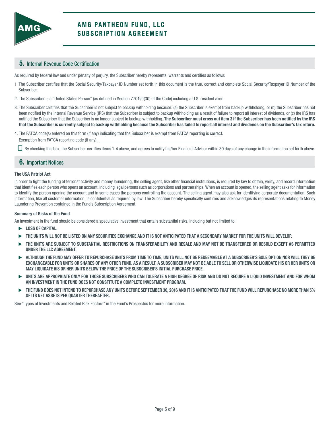

### 5. Internal Revenue Code Certification

As required by federal law and under penalty of perjury, the Subscriber hereby represents, warrants and certifies as follows:

- 1. The Subscriber certifies that the Social Security/Taxpayer ID Number set forth in this document is the true, correct and complete Social Security/Taxpayer ID Number of the Subscriber.
- 2. The Subscriber is a "United States Person" (as defined in Section 7701(a)(30) of the Code) including a U.S. resident alien.
- 3. The Subscriber certifies that the Subscriber is not subject to backup withholding because: (a) the Subscriber is exempt from backup withholding, or (b) the Subscriber has not been notified by the Internal Revenue Service (IRS) that the Subscriber is subject to backup withholding as a result of failure to report all interest of dividends, or (c) the IRS has notified the Subscriber that the Subscriber is no longer subject to backup withholding. The Subscriber must cross out item 3 if the Subscriber has been notified by the IRS that the Subscriber is currently subject to backup withholding because the Subscriber has failed to report all interest and dividends on the Subscriber's tax return.
- 4. The FATCA code(s) entered on this form (if any) indicating that the Subscriber is exempt from FATCA reporting is correct. Exemption from FATCA reporting code (if any): \_

 $\Box$  By checking this box, the Subscriber certifies items 1-4 above, and agrees to notify his/her Financial Advisor within 30 days of any change in the information set forth above.

### 6. Important Notices

#### The USA Patriot Act

In order to fight the funding of terrorist activity and money laundering, the selling agent, like other financial institutions, is required by law to obtain, verify, and record information that identifies each person who opens an account, including legal persons such as corporations and partnerships. When an account is opened, the selling agent asks for information to identify the person opening the account and in some cases the persons controlling the account. The selling agent may also ask for identifying corporate documentation. Such information, like all customer information, is confidential as required by law. The Subscriber hereby specifically confirms and acknowledges its representations relating to Money Laundering Prevention contained in the Fund's Subscription Agreement.

#### Summary of Risks of the Fund

An investment in the fund should be considered a speculative investment that entails substantial risks, including but not limited to:

- LOSS OF CAPITAL.
- $\blacktriangleright$  the units will not be listed on any securities exchange and it is not anticipated that a secondary market for the units will develop.
- THE UNITS ARE SUBJECT TO SUBSTANTIAL RESTRICTIONS ON TRANSFERABILITY AND RESALE AND MAY NOT BE TRANSFERRED OR RESOLD EXCEPT AS PERMITTED UNDER THE LLC AGREEMENT.
- $\blacktriangleright$  although the fund may offer to repurchase units from time to time, units will not be redeemable at a subscriber's sole option nor will they be EXCHANGEABLE FOR UNITS OR SHARES OF ANY OTHER FUND. AS A RESULT, A SUBSCRIBER MAY NOT BE ABLE TO SELL OR OTHERWISE LIQUIDATE HIS OR HER UNITS OR MAY LIQUIDATE HIS OR HER UNITS BELOW THE PRICE OF THE SUBSCRIBER'S INITIAL PURCHASE PRICE.
- UNITS ARE APPROPRIATE ONLY FOR THOSE SUBSCRIBERS WHO CAN TOLERATE A HIGH DEGREE OF RISK AND DO NOT REQUIRE A LIQUID INVESTMENT AND FOR WHOM AN INVESTMENT IN THE FUND DOES NOT CONSTITUTE A COMPLETE INVESTMENT PROGRAM.
- THE FUND DOES NOT INTEND TO REPURCHASE ANY UNITS BEFORE SEPTEMBER 30, 2016 AND IT IS ANTICIPATED THAT THE FUND WILL REPURCHASE NO MORE THAN 5% OF ITS NET ASSETS PER QUARTER THEREAFTER.

See "Types of Investments and Related Risk Factors" in the Fund's Prospectus for more information.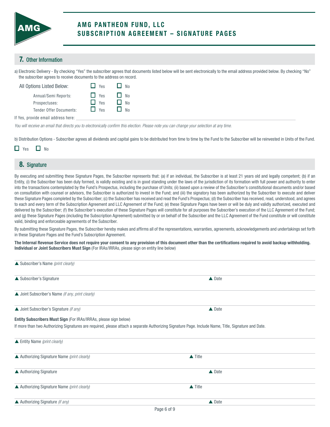

# A MG PANTHEON FUND, LLC SUBSCRIPTION AGREEMENT - SIGNATURE PAGES

### 7. Other Information

a) Electronic Delivery - By checking "Yes" the subscriber agrees that documents listed below will be sent electronically to the email address provided below. By checking "No" the subscriber agrees to receive documents to the address on record.

| All Options Listed Below:           | H<br>Yes   | N <sub>0</sub> |
|-------------------------------------|------------|----------------|
| Annual/Semi Reports:                | $\Box$ Yes | $\Box$ No      |
| Prospectuses:                       | $\Box$ Yes | No             |
| <b>Tender Offer Documents:</b>      | $\Box$ Yes | N <sub>0</sub> |
| If Yes, provide email address here: |            |                |

*You will receive an email that directs you to electronically confirm this election. Please note you can change your selection at any time.*

b) Distribution Options - Subscriber agrees all dividends and capital gains to be distributed from time to time by the Fund to the Subscriber will be reinvested in Units of the Fund.

# submitted by or on behalf of the Subscriber and the LLC Agreement of the Subscriber and the Subscriber and enforceable agreements of the Subscriber. Agreements of the Subscriber. 8. Signature

By executing and submitting these Signature Pages, the Subscriber represents that: (a) if an individual, the Subscriber is at least 21 years old and legally competent; (b) if an Entity, (i) the Subscriber has been duly formed, is validly existing and is in good standing under the laws of the jurisdiction of its formation with full power and authority to enter into the transactions contemplated by the Fund's Prospectus, including the purchase of Units; (ii) based upon a review of the Subscriber's constitutional documents and/or based on consultation with counsel or advisors, the Subscriber is authorized to invest in the Fund; and (iii) the signatory has been authorized by the Subscriber to execute and deliver these Signature Pages completed by the Subscriber; (c) the Subscriber has received and read the Fund's Prospectus; (d) the Subscriber has received, read, understood, and agrees to each and every term of the Subscription Agreement and LLC Agreement of the Fund; (e) these Signature Pages have been or will be duly and validly authorized, executed and delivered by the Subscriber; (f) the Subscriber's execution of these Signature Pages will constitute for all purposes the Subscriber's execution of the LLC Agreement of the Fund; and (g) these Signature Pages (including the Subscription Agreement) submitted by or on behalf of the Subscriber and the LLC Agreement of the Fund constitute or will constitute valid, binding and enforceable agreements of the Subscriber.

By submitting these Signature Pages, the Subscriber hereby makes and affirms all of the representations, warranties, agreements, acknowledgements and undertakings set forth in these Signature Pages and the Fund's Subscription Agreement.

The Internal Revenue Service does not require your consent to any provision of this document other than the certifications required to avoid backup withholding. Individual or Joint Subscribers Must Sign (For IRAs/IRRAs, please sign on entity line below)

| ▲ Subscriber's Name (print clearly)                              |                                                                                                                                                     |  |
|------------------------------------------------------------------|-----------------------------------------------------------------------------------------------------------------------------------------------------|--|
| ▲ Subscriber's Signature                                         | <b>▲</b> Date                                                                                                                                       |  |
| ▲ Joint Subscriber's Name (if any, print clearly)                |                                                                                                                                                     |  |
| ▲ Joint Subscriber's Signature (if any)                          | $\triangle$ Date                                                                                                                                    |  |
| Entity Subscribers Must Sign (For IRAs/IRRAs, please sign below) |                                                                                                                                                     |  |
|                                                                  | If more than two Authorizing Signatures are required, please attach a separate Authorizing Signature Page. Include Name, Title, Signature and Date. |  |
| ▲ Entity Name (print clearly)                                    |                                                                                                                                                     |  |
| ▲ Authorizing Signature Name (print clearly)                     | $\triangle$ Title                                                                                                                                   |  |
| ▲ Authorizing Signature                                          | $\triangle$ Date                                                                                                                                    |  |
| ▲ Authorizing Signature Name (print clearly)                     | $\triangle$ Title                                                                                                                                   |  |
| ▲ Authorizing Signature (if any)                                 | $\triangle$ Date                                                                                                                                    |  |
|                                                                  | Page 6 of 9                                                                                                                                         |  |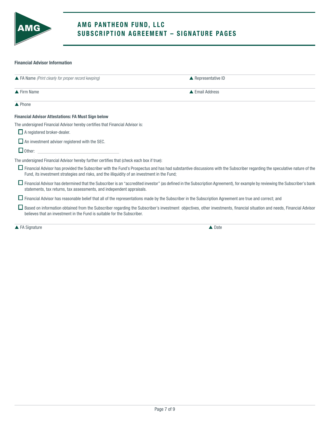

# A MG PANTHEON FUND, LLC SUBSCRIPTION AGREEMENT - SIGNATURE PAGES

### Financial Advisor Information

| $\triangle$ FA Name (Print clearly for proper record keeping)                                                                                            | $\triangle$ Representative ID                                                                                                                                                   |
|----------------------------------------------------------------------------------------------------------------------------------------------------------|---------------------------------------------------------------------------------------------------------------------------------------------------------------------------------|
| $\triangle$ Firm Name                                                                                                                                    | ▲ Email Address                                                                                                                                                                 |
| $\triangle$ Phone                                                                                                                                        |                                                                                                                                                                                 |
| <b>Financial Advisor Attestations: FA Must Sign below</b>                                                                                                |                                                                                                                                                                                 |
| The undersigned Financial Advisor hereby certifies that Financial Advisor is:                                                                            |                                                                                                                                                                                 |
| $\Box$ A registered broker-dealer.                                                                                                                       |                                                                                                                                                                                 |
| $\Box$ An investment adviser registered with the SEC.                                                                                                    |                                                                                                                                                                                 |
| $\Box$ Other:                                                                                                                                            |                                                                                                                                                                                 |
| The undersigned Financial Advisor hereby further certifies that (check each box if true):                                                                |                                                                                                                                                                                 |
| Fund, its investment strategies and risks, and the illiquidity of an investment in the Fund;                                                             | $\Box$ Financial Advisor has provided the Subscriber with the Fund's Prospectus and has had substantive discussions with the Subscriber regarding the speculative nature of the |
| statements, tax returns, tax assessments, and independent appraisals.                                                                                    | □ Financial Advisor has determined that the Subscriber is an "accredited investor" (as defined in the Subscription Agreement), for example by reviewing the Subscriber's bank   |
| □ Financial Advisor has reasonable belief that all of the representations made by the Subscriber in the Subscription Agreement are true and correct; and |                                                                                                                                                                                 |
| believes that an investment in the Fund is suitable for the Subscriber.                                                                                  | □ Based on information obtained from the Subscriber regarding the Subscriber's investment objectives, other investments, financial situation and needs, Financial Advisor       |
| $\triangle$ FA Signature                                                                                                                                 | $\triangle$ Date                                                                                                                                                                |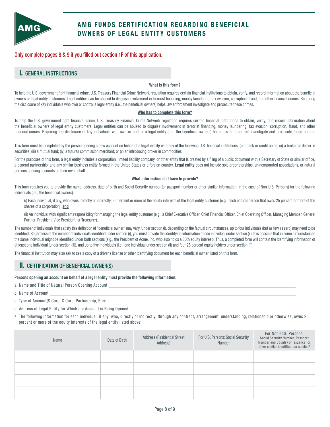

# A MG FUNDS CERTIFICATION REGARDING BENEFICIAL OWNERS OF LEGAL ENTITY CUSTOMERS

Only complete pages 8 & 9 if you filled out section 1F of this application.

### I. GENERAL INSTRUCTIONS

### What is this form?

To help the U.S. government fight financial crime, U.S. Treasury Financial Crime Network regulation requires certain financial institutions to obtain, verify, and record information about the beneficial owners of legal entity customers. Legal entities can be abused to disguise involvement in terrorist financing, money laundering, tax evasion, corruption, fraud, and other financial crimes. Requiring the disclosure of key individuals who own or control a legal entity (i.e., the beneficial owners) helps law enforcement investigate and prosecute these crimes.

#### Who has to complete this form?

To help the U.S. government fight financial crime, U.S. Treasury Financial Crime Network regulation requires certain financial institutions to obtain, verify, and record information about the beneficial owners of legal entity customers. Legal entities can be abused to disguise involvement in terrorist financing, money laundering, tax evasion, corruption, fraud, and other financial crimes. Requiring the disclosure of key individuals who own or control a legal entity (i.e., the beneficial owners) helps law enforcement investigate and prosecute these crimes.

This form must be completed by the person opening a new account on behalf of a legal entity with any of the following U.S. financial institutions: (i) a bank or credit union; (ii) a broker or dealer in securities; (iii) a mutual fund; (iv) a futures commission merchant; or (v) an introducing broker in commodities.

For the purposes of this form, a legal entity includes a corporation, limited liability company, or other entity that is created by a filing of a public document with a Secretary of State or similar office, a general partnership, and any similar business entity formed in the United States or a foreign country. Legal entity does not include sole proprietorships, unincorporated associations, or natural persons opening accounts on their own behalf.

#### What information do I have to provide?

This form requires you to provide the name, address, date of birth and Social Security number (or passport number or other similar information, in the case of Non-U.S. Persons) for the following individuals (i.e., the beneficial owners):

 (i) Each individual, if any, who owns, directly or indirectly, 25 percent or more of the equity interests of the legal entity customer (e.g., each natural person that owns 25 percent or more of the shares of a corporation); and

 (ii) An individual with significant responsibility for managing the legal entity customer (e.g., a Chief Executive Officer. Chief Financial Officer, Chief Operating Officer, Managing Member. General Partner, President, Vice President, or Treasurer).

The number of individuals that satisfy this definition of "beneficial owner" may vary. Under section (i), depending on the factual circumstances, up to four individuals (but as few as zero) may need to be identified. Regardless of the number of individuals identified under section (i), you must provide the identifying information of one individual under section (ii). It is possible that in some circumstances the same individual might be identified under both sections (e.g., the President of Acme, Inc. who also holds a 30% equity interest). Thus, a completed form will contain the identifying information of at least one individual (under section (ii)), and up to five individuals (i.e., one individual under section (ii) and four 25 percent equity holders under section (i)).

The financial institution may also ask to see a copy of a driver's license or other identifying document for each beneficial owner listed on this form.

### II. CERTIFICATION OF BENEFICIAL OWNER(S)

#### Persons opening an account on behalf of a legal entity must provide the following information:

a. Name and Title of Natural Person Opening Account

- b. Name of Account
- c. Type of Account(S Corp, C Corp, Partnership, Etc):
- d. Address of Legal Entity for Which the Account is Being Opened:
- e. The following information for each individual, if any, who, directly or indirectly, through any contract, arrangement, understanding, relationship or otherwise, owns 25 percent or more of the equity interests of the legal entity listed above:

| Name | Date of Birth | <b>Address (Residential Street</b><br>Address) | For U.S. Persons: Social Security<br>Number | For Non-U.S. Persons:<br>Social Security Number, Passport<br>Number and Country of Issuance, or<br>other similar identification number <sup>1</sup> |
|------|---------------|------------------------------------------------|---------------------------------------------|-----------------------------------------------------------------------------------------------------------------------------------------------------|
|      |               |                                                |                                             |                                                                                                                                                     |
|      |               |                                                |                                             |                                                                                                                                                     |
|      |               |                                                |                                             |                                                                                                                                                     |
|      |               |                                                |                                             |                                                                                                                                                     |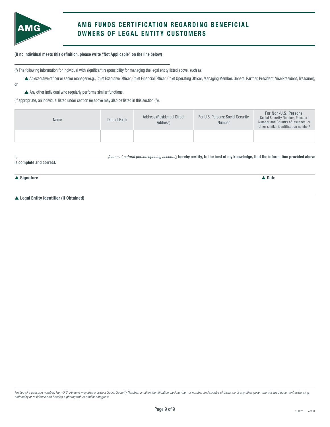

# A MG FUNDS CERTIFICATION REGARDING BENEFICIAL OWNERS OF LEGAL ENTITY CUSTOMERS

(If no individual meets this definition, please write "Not Applicable" on the line below)

(f) The following information for individual with significant responsibility for managing the legal entity listed above, such as:

p An executive officer or senior manager (e.g., Chief Executive Officer, Chief Financial Officer, Chief Operating Officer, Managing Member. General Partner, President, Vice President, Treasurer);

or

 $\overline{a}$ 

 $\blacktriangle$  Any other individual who regularly performs similar functions.

(If appropriate, an individual listed under section (e) above may also be listed in this section (f)).

| Name | Date of Birth | <b>Address (Residential Street)</b><br>Address) | For U.S. Persons: Social Security<br>Number | For Non-U.S. Persons:<br>Social Security Number, Passport<br>Number and Country of Issuance, or<br>other similar identification number <sup>1</sup> |
|------|---------------|-------------------------------------------------|---------------------------------------------|-----------------------------------------------------------------------------------------------------------------------------------------------------|
|      |               |                                                 |                                             |                                                                                                                                                     |

|                          | (name of natural person opening account), hereby certify, to the best of my knowledge, that the information provided above |  |
|--------------------------|----------------------------------------------------------------------------------------------------------------------------|--|
| is complete and correct. |                                                                                                                            |  |

 $\blacktriangle$  Signature  $\blacktriangle$  Date

▲ Legal Entity Identifier (If Obtained)

*<sup>1</sup>In lieu of a passport number, Non-U.S. Persons may also provide a Social Security Number, an alien identification card number, or number and country of issuance of any other government-issued document evidencing nationality or residence and bearing a photograph or similar safeguard.*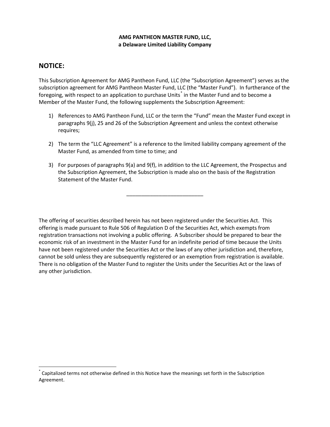### **AMG PANTHEON MASTER FUND, LLC, a Delaware Limited Liability Company**

# **NOTICE:**

This Subscription Agreement for AMG Pantheon Fund, LLC (the "Subscription Agreement") serves as the subscription agreement for AMG Pantheon Master Fund, LLC (the "Master Fund"). In furtherance of the foregoing, with respect to an application to purchase Units<sup>\*</sup> in the Master Fund and to become a Member of the Master Fund, the following supplements the Subscription Agreement:

- 1) References to AMG Pantheon Fund, LLC or the term the "Fund" mean the Master Fund except in paragraphs 9(j), 25 and 26 of the Subscription Agreement and unless the context otherwise requires;
- 2) The term the "LLC Agreement" is a reference to the limited liability company agreement of the Master Fund, as amended from time to time; and
- 3) For purposes of paragraphs 9(a) and 9(f), in addition to the LLC Agreement, the Prospectus and the Subscription Agreement, the Subscription is made also on the basis of the Registration Statement of the Master Fund.

\_\_\_\_\_\_\_\_\_\_\_\_\_\_\_\_\_\_\_\_\_\_\_\_\_\_

The offering of securities described herein has not been registered under the Securities Act. This offering is made pursuant to Rule 506 of Regulation D of the Securities Act, which exempts from registration transactions not involving a public offering. A Subscriber should be prepared to bear the economic risk of an investment in the Master Fund for an indefinite period of time because the Units have not been registered under the Securities Act or the laws of any other jurisdiction and, therefore, cannot be sold unless they are subsequently registered or an exemption from registration is available. There is no obligation of the Master Fund to register the Units under the Securities Act or the laws of any other jurisdiction.

Capitalized terms not otherwise defined in this Notice have the meanings set forth in the Subscription Agreement.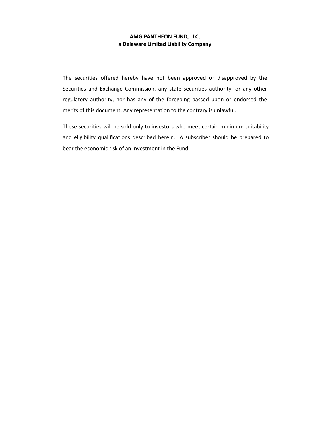### **AMG PANTHEON FUND, LLC, a Delaware Limited Liability Company**

The securities offered hereby have not been approved or disapproved by the Securities and Exchange Commission, any state securities authority, or any other regulatory authority, nor has any of the foregoing passed upon or endorsed the merits of this document. Any representation to the contrary is unlawful.

These securities will be sold only to investors who meet certain minimum suitability and eligibility qualifications described herein. A subscriber should be prepared to bear the economic risk of an investment in the Fund.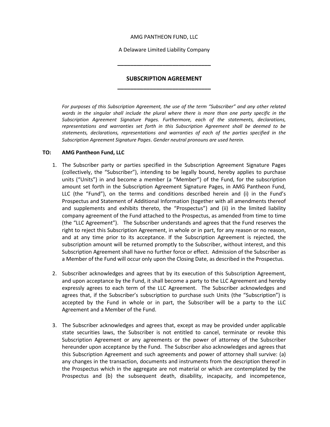### AMG PANTHEON FUND, LLC

A Delaware Limited Liability Company

**\_\_\_\_\_\_\_\_\_\_\_\_\_\_\_\_\_\_\_\_\_\_\_\_\_\_\_\_\_**

# **SUBSCRIPTION AGREEMENT \_\_\_\_\_\_\_\_\_\_\_\_\_\_\_\_\_\_\_\_\_\_\_\_\_\_\_\_\_**

*For purposes of this Subscription Agreement, the use of the term "Subscriber" and any other related words in the singular shall include the plural where there is more than one party specific in the Subscription Agreement Signature Pages. Furthermore, each of the statements, declarations, representations and warranties set forth in this Subscription Agreement shall be deemed to be statements, declarations, representations and warranties of each of the parties specified in the Subscription Agreement Signature Pages*. *Gender neutral pronouns are used herein.*

### **TO: AMG Pantheon Fund, LLC**

- 1. The Subscriber party or parties specified in the Subscription Agreement Signature Pages (collectively, the "Subscriber"), intending to be legally bound, hereby applies to purchase units ("Units") in and become a member (a "Member") of the Fund, for the subscription amount set forth in the Subscription Agreement Signature Pages, in AMG Pantheon Fund, LLC (the "Fund"), on the terms and conditions described herein and (i) in the Fund's Prospectus and Statement of Additional Information (together with all amendments thereof and supplements and exhibits thereto, the "Prospectus") and (ii) in the limited liability company agreement of the Fund attached to the Prospectus, as amended from time to time (the "LLC Agreement"). The Subscriber understands and agrees that the Fund reserves the right to reject this Subscription Agreement, in whole or in part, for any reason or no reason, and at any time prior to its acceptance. If the Subscription Agreement is rejected, the subscription amount will be returned promptly to the Subscriber, without interest, and this Subscription Agreement shall have no further force or effect. Admission of the Subscriber as a Member of the Fund will occur only upon the Closing Date, as described in the Prospectus.
- 2. Subscriber acknowledges and agrees that by its execution of this Subscription Agreement, and upon acceptance by the Fund, it shall become a party to the LLC Agreement and hereby expressly agrees to each term of the LLC Agreement. The Subscriber acknowledges and agrees that, if the Subscriber's subscription to purchase such Units (the "Subscription") is accepted by the Fund in whole or in part, the Subscriber will be a party to the LLC Agreement and a Member of the Fund.
- 3. The Subscriber acknowledges and agrees that, except as may be provided under applicable state securities laws, the Subscriber is not entitled to cancel, terminate or revoke this Subscription Agreement or any agreements or the power of attorney of the Subscriber hereunder upon acceptance by the Fund. The Subscriber also acknowledges and agrees that this Subscription Agreement and such agreements and power of attorney shall survive: (a) any changes in the transaction, documents and instruments from the description thereof in the Prospectus which in the aggregate are not material or which are contemplated by the Prospectus and (b) the subsequent death, disability, incapacity, and incompetence,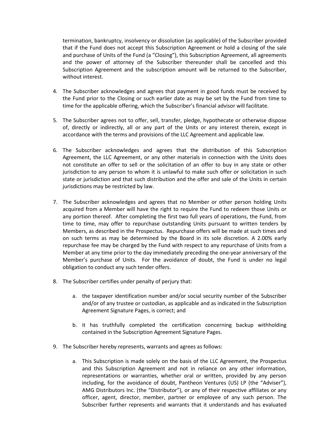termination, bankruptcy, insolvency or dissolution (as applicable) of the Subscriber provided that if the Fund does not accept this Subscription Agreement or hold a closing of the sale and purchase of Units of the Fund (a "Closing"), this Subscription Agreement, all agreements and the power of attorney of the Subscriber thereunder shall be cancelled and this Subscription Agreement and the subscription amount will be returned to the Subscriber, without interest.

- 4. The Subscriber acknowledges and agrees that payment in good funds must be received by the Fund prior to the Closing or such earlier date as may be set by the Fund from time to time for the applicable offering, which the Subscriber's financial advisor will facilitate.
- 5. The Subscriber agrees not to offer, sell, transfer, pledge, hypothecate or otherwise dispose of, directly or indirectly, all or any part of the Units or any interest therein, except in accordance with the terms and provisions of the LLC Agreement and applicable law.
- 6. The Subscriber acknowledges and agrees that the distribution of this Subscription Agreement, the LLC Agreement, or any other materials in connection with the Units does not constitute an offer to sell or the solicitation of an offer to buy in any state or other jurisdiction to any person to whom it is unlawful to make such offer or solicitation in such state or jurisdiction and that such distribution and the offer and sale of the Units in certain jurisdictions may be restricted by law.
- 7. The Subscriber acknowledges and agrees that no Member or other person holding Units acquired from a Member will have the right to require the Fund to redeem those Units or any portion thereof. After completing the first two full years of operations, the Fund, from time to time, may offer to repurchase outstanding Units pursuant to written tenders by Members, as described in the Prospectus. Repurchase offers will be made at such times and on such terms as may be determined by the Board in its sole discretion. A 2.00% early repurchase fee may be charged by the Fund with respect to any repurchase of Units from a Member at any time prior to the day immediately preceding the one-year anniversary of the Member's purchase of Units. For the avoidance of doubt, the Fund is under no legal obligation to conduct any such tender offers.
- 8. The Subscriber certifies under penalty of perjury that:
	- a. the taxpayer identification number and/or social security number of the Subscriber and/or of any trustee or custodian, as applicable and as indicated in the Subscription Agreement Signature Pages, is correct; and
	- b. it has truthfully completed the certification concerning backup withholding contained in the Subscription Agreement Signature Pages.
- 9. The Subscriber hereby represents, warrants and agrees as follows:
	- a. This Subscription is made solely on the basis of the LLC Agreement, the Prospectus and this Subscription Agreement and not in reliance on any other information, representations or warranties, whether oral or written, provided by any person including, for the avoidance of doubt, Pantheon Ventures (US) LP (the "Adviser"), AMG Distributors Inc. (the "Distributor"), or any of their respective affiliates or any officer, agent, director, member, partner or employee of any such person. The Subscriber further represents and warrants that it understands and has evaluated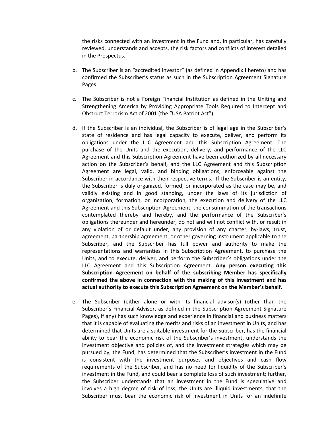the risks connected with an investment in the Fund and, in particular, has carefully reviewed, understands and accepts, the risk factors and conflicts of interest detailed in the Prospectus.

- b. The Subscriber is an "accredited investor" (as defined in Appendix I hereto) and has confirmed the Subscriber's status as such in the Subscription Agreement Signature Pages.
- c. The Subscriber is not a Foreign Financial Institution as defined in the Uniting and Strengthening America by Providing Appropriate Tools Required to Intercept and Obstruct Terrorism Act of 2001 (the "USA Patriot Act").
- d. If the Subscriber is an individual, the Subscriber is of legal age in the Subscriber's state of residence and has legal capacity to execute, deliver, and perform its obligations under the LLC Agreement and this Subscription Agreement. The purchase of the Units and the execution, delivery, and performance of the LLC Agreement and this Subscription Agreement have been authorized by all necessary action on the Subscriber's behalf, and the LLC Agreement and this Subscription Agreement are legal, valid, and binding obligations, enforceable against the Subscriber in accordance with their respective terms. If the Subscriber is an entity, the Subscriber is duly organized, formed, or incorporated as the case may be, and validly existing and in good standing, under the laws of its jurisdiction of organization, formation, or incorporation, the execution and delivery of the LLC Agreement and this Subscription Agreement, the consummation of the transactions contemplated thereby and hereby, and the performance of the Subscriber's obligations thereunder and hereunder, do not and will not conflict with, or result in any violation of or default under, any provision of any charter, by-laws, trust, agreement, partnership agreement, or other governing instrument applicable to the Subscriber, and the Subscriber has full power and authority to make the representations and warranties in this Subscription Agreement, to purchase the Units, and to execute, deliver, and perform the Subscriber's obligations under the LLC Agreement and this Subscription Agreement. **Any person executing this Subscription Agreement on behalf of the subscribing Member has specifically confirmed the above in connection with the making of this investment and has actual authority to execute this Subscription Agreement on the Member's behalf.**
- e. The Subscriber (either alone or with its financial advisor(s) (other than the Subscriber's Financial Advisor, as defined in the Subscription Agreement Signature Pages), if any) has such knowledge and experience in financial and business matters that it is capable of evaluating the merits and risks of an investment in Units, and has determined that Units are a suitable investment for the Subscriber, has the financial ability to bear the economic risk of the Subscriber's investment, understands the investment objective and policies of, and the investment strategies which may be pursued by, the Fund, has determined that the Subscriber's investment in the Fund is consistent with the investment purposes and objectives and cash flow requirements of the Subscriber, and has no need for liquidity of the Subscriber's investment in the Fund, and could bear a complete loss of such investment; further, the Subscriber understands that an investment in the Fund is speculative and involves a high degree of risk of loss, the Units are illiquid investments, that the Subscriber must bear the economic risk of investment in Units for an indefinite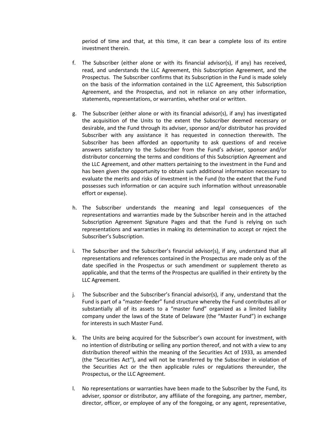period of time and that, at this time, it can bear a complete loss of its entire investment therein.

- f. The Subscriber (either alone or with its financial advisor(s), if any) has received, read, and understands the LLC Agreement, this Subscription Agreement, and the Prospectus. The Subscriber confirms that its Subscription in the Fund is made solely on the basis of the information contained in the LLC Agreement, this Subscription Agreement, and the Prospectus, and not in reliance on any other information, statements, representations, or warranties, whether oral or written.
- g. The Subscriber (either alone or with its financial advisor(s), if any) has investigated the acquisition of the Units to the extent the Subscriber deemed necessary or desirable, and the Fund through its adviser, sponsor and/or distributor has provided Subscriber with any assistance it has requested in connection therewith. The Subscriber has been afforded an opportunity to ask questions of and receive answers satisfactory to the Subscriber from the Fund's adviser, sponsor and/or distributor concerning the terms and conditions of this Subscription Agreement and the LLC Agreement, and other matters pertaining to the investment in the Fund and has been given the opportunity to obtain such additional information necessary to evaluate the merits and risks of investment in the Fund (to the extent that the Fund possesses such information or can acquire such information without unreasonable effort or expense).
- h. The Subscriber understands the meaning and legal consequences of the representations and warranties made by the Subscriber herein and in the attached Subscription Agreement Signature Pages and that the Fund is relying on such representations and warranties in making its determination to accept or reject the Subscriber's Subscription.
- i. The Subscriber and the Subscriber's financial advisor(s), if any, understand that all representations and references contained in the Prospectus are made only as of the date specified in the Prospectus or such amendment or supplement thereto as applicable, and that the terms of the Prospectus are qualified in their entirety by the LLC Agreement.
- j. The Subscriber and the Subscriber's financial advisor(s), if any, understand that the Fund is part of a "master-feeder" fund structure whereby the Fund contributes all or substantially all of its assets to a "master fund" organized as a limited liability company under the laws of the State of Delaware (the "Master Fund") in exchange for interests in such Master Fund.
- k. The Units are being acquired for the Subscriber's own account for investment, with no intention of distributing or selling any portion thereof, and not with a view to any distribution thereof within the meaning of the Securities Act of 1933, as amended (the "Securities Act"), and will not be transferred by the Subscriber in violation of the Securities Act or the then applicable rules or regulations thereunder, the Prospectus, or the LLC Agreement.
- l. No representations or warranties have been made to the Subscriber by the Fund, its adviser, sponsor or distributor, any affiliate of the foregoing, any partner, member, director, officer, or employee of any of the foregoing, or any agent, representative,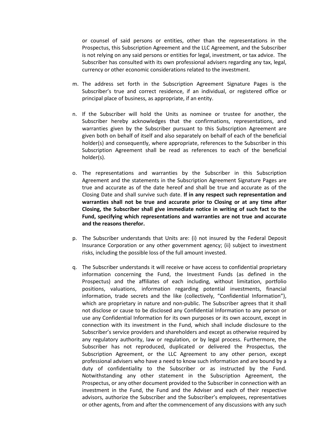or counsel of said persons or entities, other than the representations in the Prospectus, this Subscription Agreement and the LLC Agreement, and the Subscriber is not relying on any said persons or entities for legal, investment, or tax advice. The Subscriber has consulted with its own professional advisers regarding any tax, legal, currency or other economic considerations related to the investment.

- m. The address set forth in the Subscription Agreement Signature Pages is the Subscriber's true and correct residence, if an individual, or registered office or principal place of business, as appropriate, if an entity.
- n. If the Subscriber will hold the Units as nominee or trustee for another, the Subscriber hereby acknowledges that the confirmations, representations, and warranties given by the Subscriber pursuant to this Subscription Agreement are given both on behalf of itself and also separately on behalf of each of the beneficial holder(s) and consequently, where appropriate, references to the Subscriber in this Subscription Agreement shall be read as references to each of the beneficial holder(s).
- o. The representations and warranties by the Subscriber in this Subscription Agreement and the statements in the Subscription Agreement Signature Pages are true and accurate as of the date hereof and shall be true and accurate as of the Closing Date and shall survive such date. **If in any respect such representation and warranties shall not be true and accurate prior to Closing or at any time after Closing, the Subscriber shall give immediate notice in writing of such fact to the Fund, specifying which representations and warranties are not true and accurate and the reasons therefor.**
- p. The Subscriber understands that Units are: (i) not insured by the Federal Deposit Insurance Corporation or any other government agency; (ii) subject to investment risks, including the possible loss of the full amount invested.
- q. The Subscriber understands it will receive or have access to confidential proprietary information concerning the Fund, the Investment Funds (as defined in the Prospectus) and the affiliates of each including, without limitation, portfolio positions, valuations, information regarding potential investments, financial information, trade secrets and the like (collectively, "Confidential Information"), which are proprietary in nature and non-public. The Subscriber agrees that it shall not disclose or cause to be disclosed any Confidential Information to any person or use any Confidential Information for its own purposes or its own account, except in connection with its investment in the Fund, which shall include disclosure to the Subscriber's service providers and shareholders and except as otherwise required by any regulatory authority, law or regulation, or by legal process. Furthermore, the Subscriber has not reproduced, duplicated or delivered the Prospectus, the Subscription Agreement, or the LLC Agreement to any other person, except professional advisers who have a need to know such information and are bound by a duty of confidentiality to the Subscriber or as instructed by the Fund. Notwithstanding any other statement in the Subscription Agreement, the Prospectus, or any other document provided to the Subscriber in connection with an investment in the Fund, the Fund and the Adviser and each of their respective advisors, authorize the Subscriber and the Subscriber's employees, representatives or other agents, from and after the commencement of any discussions with any such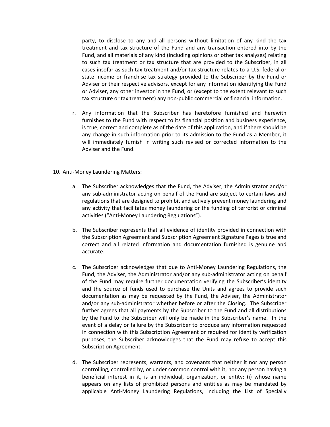party, to disclose to any and all persons without limitation of any kind the tax treatment and tax structure of the Fund and any transaction entered into by the Fund, and all materials of any kind (including opinions or other tax analyses) relating to such tax treatment or tax structure that are provided to the Subscriber, in all cases insofar as such tax treatment and/or tax structure relates to a U.S. federal or state income or franchise tax strategy provided to the Subscriber by the Fund or Adviser or their respective advisors, except for any information identifying the Fund or Adviser, any other investor in the Fund, or (except to the extent relevant to such tax structure or tax treatment) any non-public commercial or financial information.

- r. Any information that the Subscriber has heretofore furnished and herewith furnishes to the Fund with respect to its financial position and business experience, is true, correct and complete as of the date of this application, and if there should be any change in such information prior to its admission to the Fund as a Member, it will immediately furnish in writing such revised or corrected information to the Adviser and the Fund.
- 10. Anti-Money Laundering Matters:
	- a. The Subscriber acknowledges that the Fund, the Adviser, the Administrator and/or any sub-administrator acting on behalf of the Fund are subject to certain laws and regulations that are designed to prohibit and actively prevent money laundering and any activity that facilitates money laundering or the funding of terrorist or criminal activities ("Anti-Money Laundering Regulations").
	- b. The Subscriber represents that all evidence of identity provided in connection with the Subscription Agreement and Subscription Agreement Signature Pages is true and correct and all related information and documentation furnished is genuine and accurate.
	- c. The Subscriber acknowledges that due to Anti-Money Laundering Regulations, the Fund, the Adviser, the Administrator and/or any sub-administrator acting on behalf of the Fund may require further documentation verifying the Subscriber's identity and the source of funds used to purchase the Units and agrees to provide such documentation as may be requested by the Fund, the Adviser, the Administrator and/or any sub-administrator whether before or after the Closing. The Subscriber further agrees that all payments by the Subscriber to the Fund and all distributions by the Fund to the Subscriber will only be made in the Subscriber's name. In the event of a delay or failure by the Subscriber to produce any information requested in connection with this Subscription Agreement or required for identity verification purposes, the Subscriber acknowledges that the Fund may refuse to accept this Subscription Agreement.
	- d. The Subscriber represents, warrants, and covenants that neither it nor any person controlling, controlled by, or under common control with it, nor any person having a beneficial interest in it, is an individual, organization, or entity: (i) whose name appears on any lists of prohibited persons and entities as may be mandated by applicable Anti-Money Laundering Regulations, including the List of Specially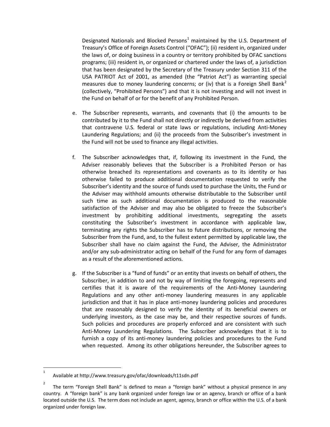Designated Nationals and Blocked Persons<sup>1</sup> maintained by the U.S. Department of Treasury's Office of Foreign Assets Control ("OFAC"); (ii) resident in, organized under the laws of, or doing business in a country or territory prohibited by OFAC sanctions programs; (iii) resident in, or organized or chartered under the laws of, a jurisdiction that has been designated by the Secretary of the Treasury under Section 311 of the USA PATRIOT Act of 2001, as amended (the "Patriot Act") as warranting special measures due to money laundering concerns; or (iv) that is a Foreign Shell Bank<sup>2</sup> (collectively, "Prohibited Persons") and that it is not investing and will not invest in the Fund on behalf of or for the benefit of any Prohibited Person.

- e. The Subscriber represents, warrants, and covenants that (i) the amounts to be contributed by it to the Fund shall not directly or indirectly be derived from activities that contravene U.S. federal or state laws or regulations, including Anti-Money Laundering Regulations; and (ii) the proceeds from the Subscriber's investment in the Fund will not be used to finance any illegal activities.
- f. The Subscriber acknowledges that, if, following its investment in the Fund, the Adviser reasonably believes that the Subscriber is a Prohibited Person or has otherwise breached its representations and covenants as to its identity or has otherwise failed to produce additional documentation requested to verify the Subscriber's identity and the source of funds used to purchase the Units, the Fund or the Adviser may withhold amounts otherwise distributable to the Subscriber until such time as such additional documentation is produced to the reasonable satisfaction of the Adviser and may also be obligated to freeze the Subscriber's investment by prohibiting additional investments, segregating the assets constituting the Subscriber's investment in accordance with applicable law, terminating any rights the Subscriber has to future distributions, or removing the Subscriber from the Fund, and, to the fullest extent permitted by applicable law, the Subscriber shall have no claim against the Fund, the Adviser, the Administrator and/or any sub-administrator acting on behalf of the Fund for any form of damages as a result of the aforementioned actions.
- g. If the Subscriber is a "fund of funds" or an entity that invests on behalf of others, the Subscriber, in addition to and not by way of limiting the foregoing, represents and certifies that it is aware of the requirements of the Anti-Money Laundering Regulations and any other anti-money laundering measures in any applicable jurisdiction and that it has in place anti-money laundering policies and procedures that are reasonably designed to verify the identity of its beneficial owners or underlying investors, as the case may be, and their respective sources of funds. Such policies and procedures are properly enforced and are consistent with such Anti-Money Laundering Regulations. The Subscriber acknowledges that it is to furnish a copy of its anti-money laundering policies and procedures to the Fund when requested. Among its other obligations hereunder, the Subscriber agrees to

 $\frac{1}{1}$ Available at http://www.treasury.gov/ofac/downloads/t11sdn.pdf

<sup>2</sup> The term "Foreign Shell Bank" is defined to mean a "foreign bank" without a physical presence in any country. A "foreign bank" is any bank organized under foreign law or an agency, branch or office of a bank located outside the U.S. The term does not include an agent, agency, branch or office within the U.S. of a bank organized under foreign law.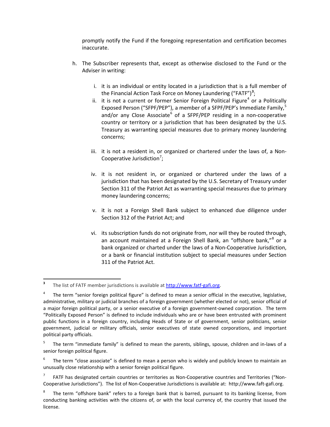promptly notify the Fund if the foregoing representation and certification becomes inaccurate.

- h. The Subscriber represents that, except as otherwise disclosed to the Fund or the Adviser in writing:
	- i. it is an individual or entity located in a jurisdiction that is a full member of the Financial Action Task Force on Money Laundering ("FATF")**<sup>3</sup>** ;
	- ii. it is not a current or former Senior Foreign Political Figure<sup>4</sup> or a Politically Exposed Person ("SFPF/PEP"), a member of a SFPF/PEP's Immediate Family,<sup>5</sup> and/or any Close Associate<sup>6</sup> of a SFPF/PEP residing in a non-cooperative country or territory or a jurisdiction that has been designated by the U.S. Treasury as warranting special measures due to primary money laundering concerns;
	- iii. it is not a resident in, or organized or chartered under the laws of, a Non-Cooperative Jurisdiction<sup>7</sup>;
	- iv. it is not resident in, or organized or chartered under the laws of a jurisdiction that has been designated by the U.S. Secretary of Treasury under Section 311 of the Patriot Act as warranting special measures due to primary money laundering concerns;
	- v. it is not a Foreign Shell Bank subject to enhanced due diligence under Section 312 of the Patriot Act; and
	- vi. its subscription funds do not originate from, nor will they be routed through, an account maintained at a Foreign Shell Bank, an "offshore bank,"<sup>8</sup> or a bank organized or charted under the laws of a Non-Cooperative Jurisdiction, or a bank or financial institution subject to special measures under Section 311 of the Patriot Act.

l

FATF has designated certain countries or territories as Non-Cooperative countries and Territories ("Non-Cooperative Jurisdictions"). The list of Non-Cooperative Jurisdictions is available at: http://www.faft-gafi.org.

**<sup>3</sup>** The list of FATF member jurisdictions is available at http://www.fatf-gafi.org.

The term "senior foreign political figure" is defined to mean a senior official in the executive, legislative, administrative, military or judicial branches of a foreign government (whether elected or not), senior official of a major foreign political party, or a senior executive of a foreign government-owned corporation. The term "Politically Exposed Person" is defined to include individuals who are or have been entrusted with prominent public functions in a foreign country, including Heads of State or of government, senior politicians, senior government, judicial or military officials, senior executives of state owned corporations, and important political party officials.

The term "immediate family" is defined to mean the parents, siblings, spouse, children and in-laws of a senior foreign political figure.

The term "close associate" is defined to mean a person who is widely and publicly known to maintain an unusually close relationship with a senior foreign political figure.

The term "offshore bank" refers to a foreign bank that is barred, pursuant to its banking license, from conducting banking activities with the citizens of, or with the local currency of, the country that issued the license.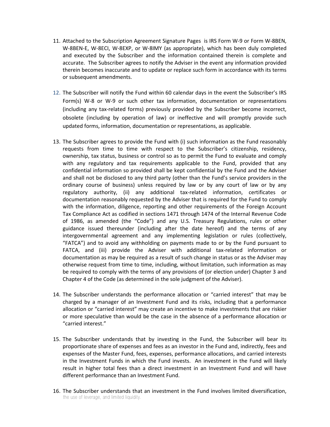- 11. Attached to the Subscription Agreement Signature Pages is IRS Form W-9 or Form W-8BEN, W-8BEN-E, W-8ECI, W-8EXP, or W-8IMY (as appropriate), which has been duly completed and executed by the Subscriber and the information contained therein is complete and accurate. The Subscriber agrees to notify the Adviser in the event any information provided therein becomes inaccurate and to update or replace such form in accordance with its terms or subsequent amendments.
- 12. The Subscriber will notify the Fund within 60 calendar days in the event the Subscriber's IRS Form(s) W-8 or W-9 or such other tax information, documentation or representations (including any tax-related forms) previously provided by the Subscriber become incorrect, obsolete (including by operation of law) or ineffective and will promptly provide such updated forms, information, documentation or representations, as applicable.
- 13. The Subscriber agrees to provide the Fund with (i) such information as the Fund reasonably requests from time to time with respect to the Subscriber's citizenship, residency, ownership, tax status, business or control so as to permit the Fund to evaluate and comply with any regulatory and tax requirements applicable to the Fund, provided that any confidential information so provided shall be kept confidential by the Fund and the Adviser and shall not be disclosed to any third party (other than the Fund's service providers in the ordinary course of business) unless required by law or by any court of law or by any regulatory authority, (ii) any additional tax-related information, certificates or documentation reasonably requested by the Adviser that is required for the Fund to comply with the information, diligence, reporting and other requirements of the Foreign Account Tax Compliance Act as codified in sections 1471 through 1474 of the Internal Revenue Code of 1986, as amended (the "Code") and any U.S. Treasury Regulations, rules or other guidance issued thereunder (including after the date hereof) and the terms of any intergovernmental agreement and any implementing legislation or rules (collectively, "FATCA") and to avoid any withholding on payments made to or by the Fund pursuant to FATCA, and (iii) provide the Adviser with additional tax-related information or documentation as may be required as a result of such change in status or as the Adviser may otherwise request from time to time, including, without limitation, such information as may be required to comply with the terms of any provisions of (or election under) Chapter 3 and Chapter 4 of the Code (as determined in the sole judgment of the Adviser).
- 14. The Subscriber understands the performance allocation or "carried interest" that may be charged by a manager of an Investment Fund and its risks, including that a performance allocation or "carried interest" may create an incentive to make investments that are riskier or more speculative than would be the case in the absence of a performance allocation or "carried interest."
- 15. The Subscriber understands that by investing in the Fund, the Subscriber will bear its proportionate share of expenses and fees as an investor in the Fund and, indirectly, fees and expenses of the Master Fund, fees, expenses, performance allocations, and carried interests in the Investment Funds in which the Fund invests. An investment in the Fund will likely result in higher total fees than a direct investment in an Investment Fund and will have different performance than an Investment Fund.
- 16. The Subscriber understands that an investment in the Fund involves limited diversification, the use of leverage, and limited liquidity.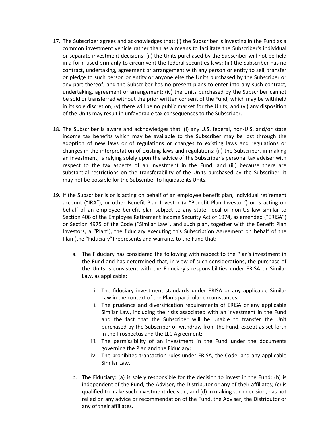- 17. The Subscriber agrees and acknowledges that: (i) the Subscriber is investing in the Fund as a common investment vehicle rather than as a means to facilitate the Subscriber's individual or separate investment decisions; (ii) the Units purchased by the Subscriber will not be held in a form used primarily to circumvent the federal securities laws; (iii) the Subscriber has no contract, undertaking, agreement or arrangement with any person or entity to sell, transfer or pledge to such person or entity or anyone else the Units purchased by the Subscriber or any part thereof, and the Subscriber has no present plans to enter into any such contract, undertaking, agreement or arrangement; (iv) the Units purchased by the Subscriber cannot be sold or transferred without the prior written consent of the Fund, which may be withheld in its sole discretion; (v) there will be no public market for the Units; and (vi) any disposition of the Units may result in unfavorable tax consequences to the Subscriber.
- 18. The Subscriber is aware and acknowledges that: (i) any U.S. federal, non-U.S. and/or state income tax benefits which may be available to the Subscriber may be lost through the adoption of new laws or of regulations or changes to existing laws and regulations or changes in the interpretation of existing laws and regulations; (ii) the Subscriber, in making an investment, is relying solely upon the advice of the Subscriber's personal tax adviser with respect to the tax aspects of an investment in the Fund; and (iii) because there are substantial restrictions on the transferability of the Units purchased by the Subscriber, it may not be possible for the Subscriber to liquidate its Units.
- 19. If the Subscriber is or is acting on behalf of an employee benefit plan, individual retirement account ("IRA"), or other Benefit Plan Investor (a "Benefit Plan Investor") or is acting on behalf of an employee benefit plan subject to any state, local or non-US law similar to Section 406 of the Employee Retirement Income Security Act of 1974, as amended ("ERISA") or Section 4975 of the Code ("Similar Law", and such plan, together with the Benefit Plan Investors, a "Plan"), the fiduciary executing this Subscription Agreement on behalf of the Plan (the "Fiduciary") represents and warrants to the Fund that:
	- a. The Fiduciary has considered the following with respect to the Plan's investment in the Fund and has determined that, in view of such considerations, the purchase of the Units is consistent with the Fiduciary's responsibilities under ERISA or Similar Law, as applicable:
		- i. The fiduciary investment standards under ERISA or any applicable Similar Law in the context of the Plan's particular circumstances;
		- ii. The prudence and diversification requirements of ERISA or any applicable Similar Law, including the risks associated with an investment in the Fund and the fact that the Subscriber will be unable to transfer the Unit purchased by the Subscriber or withdraw from the Fund, except as set forth in the Prospectus and the LLC Agreement;
		- iii. The permissibility of an investment in the Fund under the documents governing the Plan and the Fiduciary;
		- iv. The prohibited transaction rules under ERISA, the Code, and any applicable Similar Law.
	- b. The Fiduciary: (a) is solely responsible for the decision to invest in the Fund; (b) is independent of the Fund, the Adviser, the Distributor or any of their affiliates; (c) is qualified to make such investment decision; and (d) in making such decision, has not relied on any advice or recommendation of the Fund, the Adviser, the Distributor or any of their affiliates.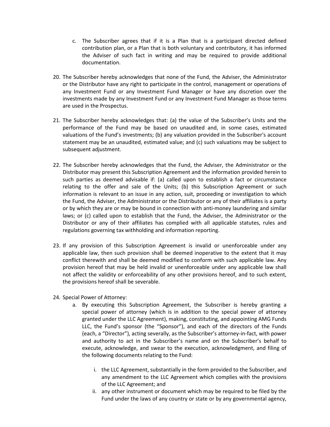- c. The Subscriber agrees that if it is a Plan that is a participant directed defined contribution plan, or a Plan that is both voluntary and contributory, it has informed the Adviser of such fact in writing and may be required to provide additional documentation.
- 20. The Subscriber hereby acknowledges that none of the Fund, the Adviser, the Administrator or the Distributor have any right to participate in the control, management or operations of any Investment Fund or any Investment Fund Manager or have any discretion over the investments made by any Investment Fund or any Investment Fund Manager as those terms are used in the Prospectus.
- 21. The Subscriber hereby acknowledges that: (a) the value of the Subscriber's Units and the performance of the Fund may be based on unaudited and, in some cases, estimated valuations of the Fund's investments; (b) any valuation provided in the Subscriber's account statement may be an unaudited, estimated value; and (c) such valuations may be subject to subsequent adjustment.
- 22. The Subscriber hereby acknowledges that the Fund, the Adviser, the Administrator or the Distributor may present this Subscription Agreement and the information provided herein to such parties as deemed advisable if: (a) called upon to establish a fact or circumstance relating to the offer and sale of the Units; (b) this Subscription Agreement or such information is relevant to an issue in any action, suit, proceeding or investigation to which the Fund, the Adviser, the Administrator or the Distributor or any of their affiliates is a party or by which they are or may be bound in connection with anti-money laundering and similar laws; or (c) called upon to establish that the Fund, the Adviser, the Administrator or the Distributor or any of their affiliates has complied with all applicable statutes, rules and regulations governing tax withholding and information reporting.
- 23. If any provision of this Subscription Agreement is invalid or unenforceable under any applicable law, then such provision shall be deemed inoperative to the extent that it may conflict therewith and shall be deemed modified to conform with such applicable law. Any provision hereof that may be held invalid or unenforceable under any applicable law shall not affect the validity or enforceability of any other provisions hereof, and to such extent, the provisions hereof shall be severable.
- 24. Special Power of Attorney:
	- a. By executing this Subscription Agreement, the Subscriber is hereby granting a special power of attorney (which is in addition to the special power of attorney granted under the LLC Agreement), making, constituting, and appointing AMG Funds LLC, the Fund's sponsor (the "Sponsor"), and each of the directors of the Funds (each, a "Director"), acting severally, as the Subscriber's attorney-in-fact, with power and authority to act in the Subscriber's name and on the Subscriber's behalf to execute, acknowledge, and swear to the execution, acknowledgment, and filing of the following documents relating to the Fund:
		- i. the LLC Agreement, substantially in the form provided to the Subscriber, and any amendment to the LLC Agreement which complies with the provisions of the LLC Agreement; and
		- ii. any other instrument or document which may be required to be filed by the Fund under the laws of any country or state or by any governmental agency,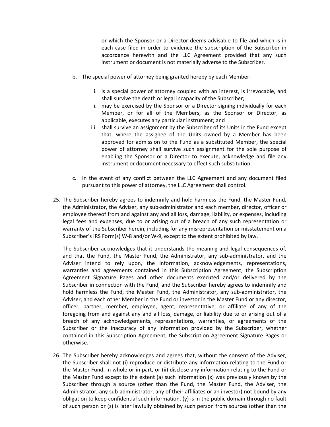or which the Sponsor or a Director deems advisable to file and which is in each case filed in order to evidence the subscription of the Subscriber in accordance herewith and the LLC Agreement provided that any such instrument or document is not materially adverse to the Subscriber.

- b. The special power of attorney being granted hereby by each Member:
	- i. is a special power of attorney coupled with an interest, is irrevocable, and shall survive the death or legal incapacity of the Subscriber;
	- ii. may be exercised by the Sponsor or a Director signing individually for each Member, or for all of the Members, as the Sponsor or Director, as applicable, executes any particular instrument; and
	- iii. shall survive an assignment by the Subscriber of its Units in the Fund except that, where the assignee of the Units owned by a Member has been approved for admission to the Fund as a substituted Member, the special power of attorney shall survive such assignment for the sole purpose of enabling the Sponsor or a Director to execute, acknowledge and file any instrument or document necessary to effect such substitution.
- c. In the event of any conflict between the LLC Agreement and any document filed pursuant to this power of attorney, the LLC Agreement shall control.
- 25. The Subscriber hereby agrees to indemnify and hold harmless the Fund, the Master Fund, the Administrator, the Adviser, any sub-administrator and each member, director, officer or employee thereof from and against any and all loss, damage, liability, or expenses, including legal fees and expenses, due to or arising out of a breach of any such representation or warranty of the Subscriber herein, including for any misrepresentation or misstatement on a Subscriber's IRS Form(s) W-8 and/or W-9, except to the extent prohibited by law.

The Subscriber acknowledges that it understands the meaning and legal consequences of, and that the Fund, the Master Fund, the Administrator, any sub-administrator, and the Adviser intend to rely upon, the information, acknowledgements, representations, warranties and agreements contained in this Subscription Agreement, the Subscription Agreement Signature Pages and other documents executed and/or delivered by the Subscriber in connection with the Fund, and the Subscriber hereby agrees to indemnify and hold harmless the Fund, the Master Fund, the Administrator, any sub-administrator, the Adviser, and each other Member in the Fund or investor in the Master Fund or any director, officer, partner, member, employee, agent, representative, or affiliate of any of the foregoing from and against any and all loss, damage, or liability due to or arising out of a breach of any acknowledgements, representations, warranties, or agreements of the Subscriber or the inaccuracy of any information provided by the Subscriber, whether contained in this Subscription Agreement, the Subscription Agreement Signature Pages or otherwise.

26. The Subscriber hereby acknowledges and agrees that, without the consent of the Adviser, the Subscriber shall not (i) reproduce or distribute any information relating to the Fund or the Master Fund, in whole or in part, or (ii) disclose any information relating to the Fund or the Master Fund except to the extent (a) such information (x) was previously known by the Subscriber through a source (other than the Fund, the Master Fund, the Adviser, the Administrator, any sub-administrator, any of their affiliates or an investor) not bound by any obligation to keep confidential such information, (y) is in the public domain through no fault of such person or (z) is later lawfully obtained by such person from sources (other than the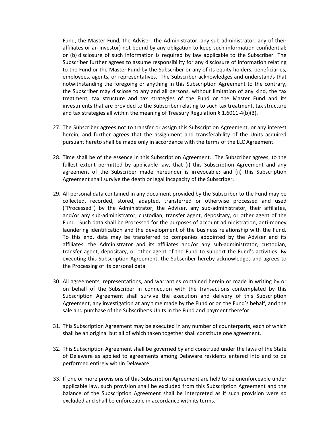Fund, the Master Fund, the Adviser, the Administrator, any sub-administrator, any of their affiliates or an investor) not bound by any obligation to keep such information confidential; or (b) disclosure of such information is required by law applicable to the Subscriber. The Subscriber further agrees to assume responsibility for any disclosure of information relating to the Fund or the Master Fund by the Subscriber or any of its equity holders, beneficiaries, employees, agents, or representatives. The Subscriber acknowledges and understands that notwithstanding the foregoing or anything in this Subscription Agreement to the contrary, the Subscriber may disclose to any and all persons, without limitation of any kind, the tax treatment, tax structure and tax strategies of the Fund or the Master Fund and its investments that are provided to the Subscriber relating to such tax treatment, tax structure and tax strategies all within the meaning of Treasury Regulation  $\S 1.6011-4(b)(3)$ .

- 27. The Subscriber agrees not to transfer or assign this Subscription Agreement, or any interest herein, and further agrees that the assignment and transferability of the Units acquired pursuant hereto shall be made only in accordance with the terms of the LLC Agreement.
- 28. Time shall be of the essence in this Subscription Agreement. The Subscriber agrees, to the fullest extent permitted by applicable law, that (i) this Subscription Agreement and any agreement of the Subscriber made hereunder is irrevocable; and (ii) this Subscription Agreement shall survive the death or legal incapacity of the Subscriber.
- 29. All personal data contained in any document provided by the Subscriber to the Fund may be collected, recorded, stored, adapted, transferred or otherwise processed and used ("Processed") by the Administrator, the Adviser, any sub-administrator, their affiliates, and/or any sub-administrator, custodian, transfer agent, depositary, or other agent of the Fund. Such data shall be Processed for the purposes of account administration, anti-money laundering identification and the development of the business relationship with the Fund. To this end, data may be transferred to companies appointed by the Adviser and its affiliates, the Administrator and its affiliates and/or any sub-administrator, custodian, transfer agent, depositary, or other agent of the Fund to support the Fund's activities. By executing this Subscription Agreement, the Subscriber hereby acknowledges and agrees to the Processing of its personal data.
- 30. All agreements, representations, and warranties contained herein or made in writing by or on behalf of the Subscriber in connection with the transactions contemplated by this Subscription Agreement shall survive the execution and delivery of this Subscription Agreement, any investigation at any time made by the Fund or on the Fund's behalf, and the sale and purchase of the Subscriber's Units in the Fund and payment therefor.
- 31. This Subscription Agreement may be executed in any number of counterparts, each of which shall be an original but all of which taken together shall constitute one agreement.
- 32. This Subscription Agreement shall be governed by and construed under the laws of the State of Delaware as applied to agreements among Delaware residents entered into and to be performed entirely within Delaware.
- 33. If one or more provisions of this Subscription Agreement are held to be unenforceable under applicable law, such provision shall be excluded from this Subscription Agreement and the balance of the Subscription Agreement shall be interpreted as if such provision were so excluded and shall be enforceable in accordance with its terms.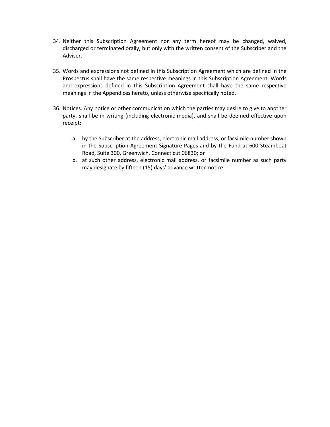- 34. Neither this Subscription Agreement nor any term hereof may be changed, waived, discharged or terminated orally, but only with the written consent of the Subscriber and the Adviser.
- 35. Words and expressions not defined in this Subscription Agreement which are defined in the Prospectus shall have the same respective meanings in this Subscription Agreement. Words and expressions defined in this Subscription Agreement shall have the same respective meanings in the Appendices hereto, unless otherwise specifically noted.
- 36. Notices. Any notice or other communication which the parties may desire to give to another party, shall be in writing (including electronic media), and shall be deemed effective upon receipt:
	- a. by the Subscriber at the address, electronic mail address, or facsimile number shown in the Subscription Agreement Signature Pages and by the Fund at 600 Steamboat Road, Suite 300, Greenwich, Connecticut 06830; or
	- b. at such other address, electronic mail address, or facsimile number as such party may designate by fifteen (15) days' advance written notice.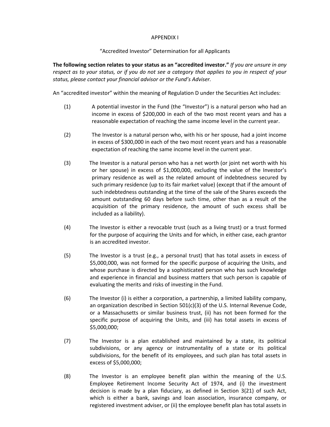### APPENDIX I

### "Accredited Investor" Determination for all Applicants

**The following section relates to your status as an "accredited investor."** *If you are unsure in any respect as to your status, or if you do not see a category that applies to you in respect of your status, please contact your financial advisor or the Fund's Adviser.*

An "accredited investor" within the meaning of Regulation D under the Securities Act includes:

- (1) A potential investor in the Fund (the "Investor") is a natural person who had an income in excess of \$200,000 in each of the two most recent years and has a reasonable expectation of reaching the same income level in the current year.
- (2) The Investor is a natural person who, with his or her spouse, had a joint income in excess of \$300,000 in each of the two most recent years and has a reasonable expectation of reaching the same income level in the current year.
- (3) The Investor is a natural person who has a net worth (or joint net worth with his or her spouse) in excess of \$1,000,000, excluding the value of the Investor's primary residence as well as the related amount of indebtedness secured by such primary residence (up to its fair market value) (except that if the amount of such indebtedness outstanding at the time of the sale of the Shares exceeds the amount outstanding 60 days before such time, other than as a result of the acquisition of the primary residence, the amount of such excess shall be included as a liability).
- (4) The Investor is either a revocable trust (such as a living trust) or a trust formed for the purpose of acquiring the Units and for which, in either case, each grantor is an accredited investor.
- (5) The Investor is a trust (e.g., a personal trust) that has total assets in excess of \$5,000,000, was not formed for the specific purpose of acquiring the Units, and whose purchase is directed by a sophisticated person who has such knowledge and experience in financial and business matters that such person is capable of evaluating the merits and risks of investing in the Fund.
- (6) The Investor (i) is either a corporation, a partnership, a limited liability company, an organization described in Section 501(c)(3) of the U.S. Internal Revenue Code, or a Massachusetts or similar business trust, (ii) has not been formed for the specific purpose of acquiring the Units, and (iii) has total assets in excess of \$5,000,000;
- (7) The Investor is a plan established and maintained by a state, its political subdivisions, or any agency or instrumentality of a state or its political subdivisions, for the benefit of its employees, and such plan has total assets in excess of \$5,000,000;
- (8) The Investor is an employee benefit plan within the meaning of the U.S. Employee Retirement Income Security Act of 1974, and (i) the investment decision is made by a plan fiduciary, as defined in Section 3(21) of such Act, which is either a bank, savings and loan association, insurance company, or registered investment adviser, or (ii) the employee benefit plan has total assets in